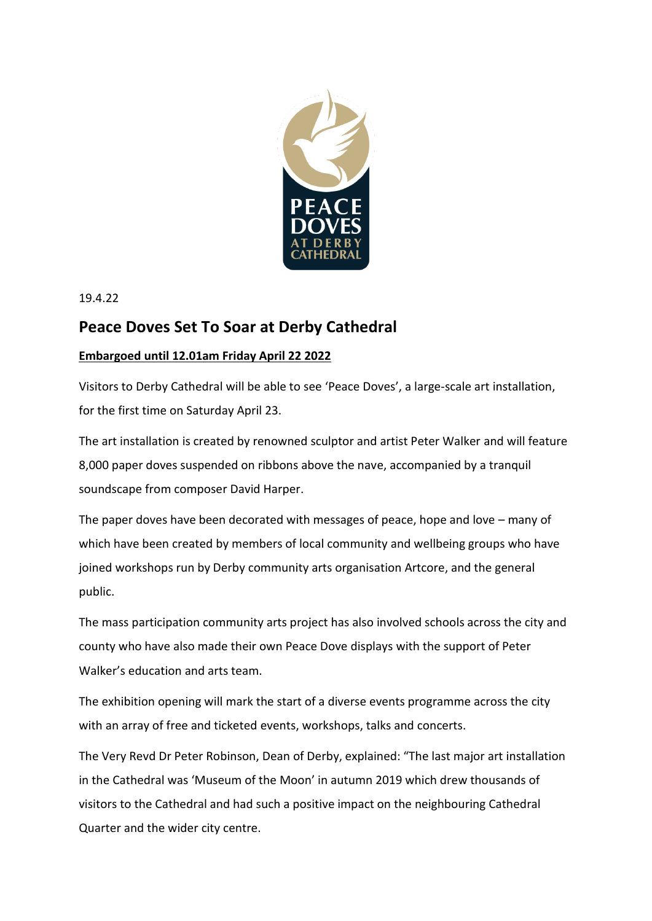

19.4.22

# **Peace Doves Set To Soar at Derby Cathedral**

# **Embargoed until 12.01am Friday April 22 2022**

Visitors to Derby Cathedral will be able to see 'Peace Doves', a large-scale art installation, for the first time on Saturday April 23.

The art installation is created by renowned sculptor and artist Peter Walker and will feature 8,000 paper doves suspended on ribbons above the nave, accompanied by a tranquil soundscape from composer David Harper.

The paper doves have been decorated with messages of peace, hope and love – many of which have been created by members of local community and wellbeing groups who have joined workshops run by Derby community arts organisation Artcore, and the general public.

The mass participation community arts project has also involved schools across the city and county who have also made their own Peace Dove displays with the support of Peter Walker's education and arts team.

The exhibition opening will mark the start of a diverse events programme across the city with an array of free and ticketed events, workshops, talks and concerts.

The Very Revd Dr Peter Robinson, Dean of Derby, explained: "The last major art installation in the Cathedral was 'Museum of the Moon' in autumn 2019 which drew thousands of visitors to the Cathedral and had such a positive impact on the neighbouring Cathedral Quarter and the wider city centre.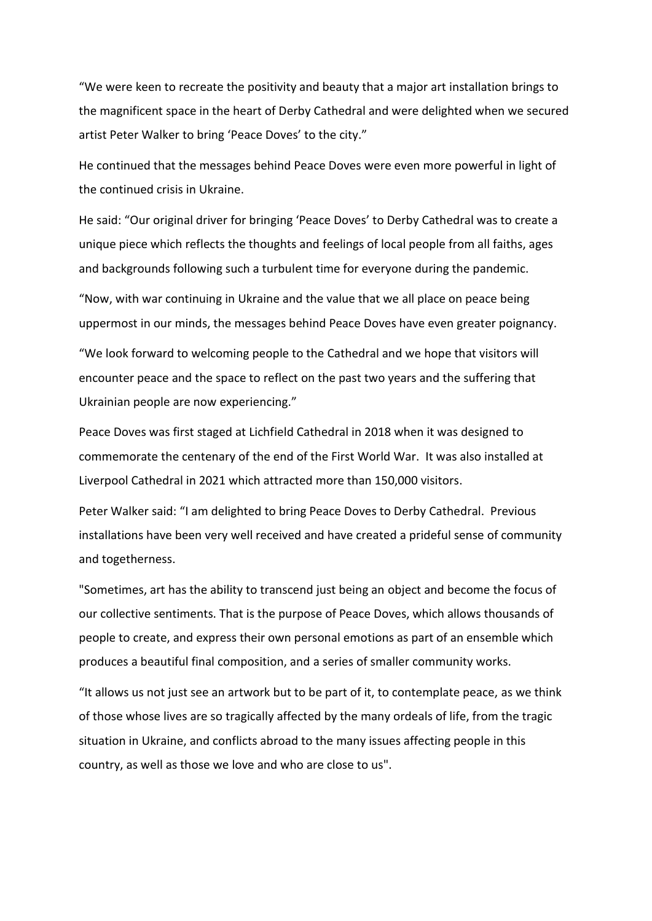"We were keen to recreate the positivity and beauty that a major art installation brings to the magnificent space in the heart of Derby Cathedral and were delighted when we secured artist Peter Walker to bring 'Peace Doves' to the city."

He continued that the messages behind Peace Doves were even more powerful in light of the continued crisis in Ukraine.

He said: "Our original driver for bringing 'Peace Doves' to Derby Cathedral was to create a unique piece which reflects the thoughts and feelings of local people from all faiths, ages and backgrounds following such a turbulent time for everyone during the pandemic.

"Now, with war continuing in Ukraine and the value that we all place on peace being uppermost in our minds, the messages behind Peace Doves have even greater poignancy.

"We look forward to welcoming people to the Cathedral and we hope that visitors will encounter peace and the space to reflect on the past two years and the suffering that Ukrainian people are now experiencing."

Peace Doves was first staged at Lichfield Cathedral in 2018 when it was designed to commemorate the centenary of the end of the First World War. It was also installed at Liverpool Cathedral in 2021 which attracted more than 150,000 visitors.

Peter Walker said: "I am delighted to bring Peace Doves to Derby Cathedral. Previous installations have been very well received and have created a prideful sense of community and togetherness.

"Sometimes, art has the ability to transcend just being an object and become the focus of our collective sentiments. That is the purpose of Peace Doves, which allows thousands of people to create, and express their own personal emotions as part of an ensemble which produces a beautiful final composition, and a series of smaller community works.

"It allows us not just see an artwork but to be part of it, to contemplate peace, as we think of those whose lives are so tragically affected by the many ordeals of life, from the tragic situation in Ukraine, and conflicts abroad to the many issues affecting people in this country, as well as those we love and who are close to us".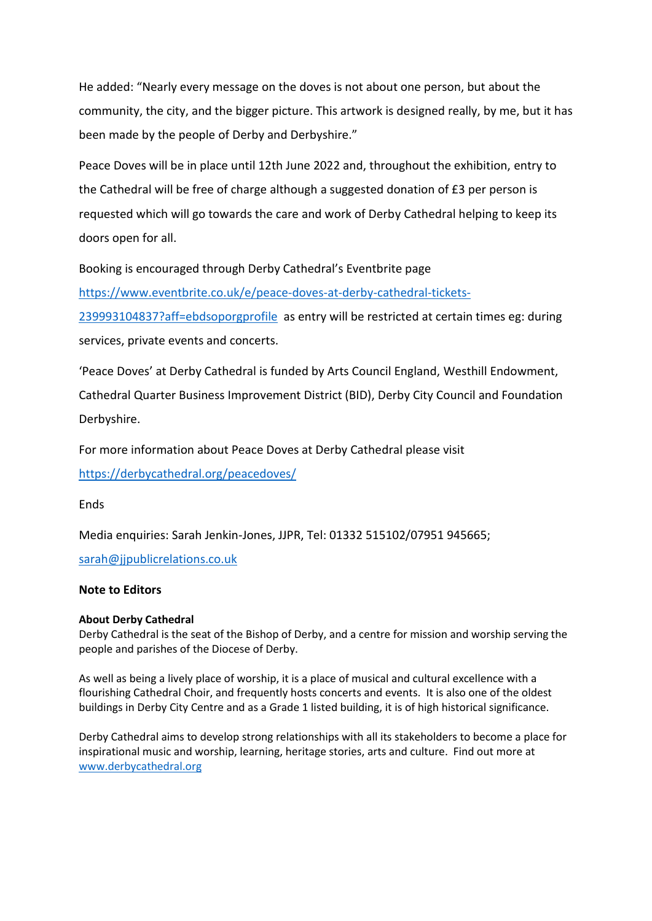He added: "Nearly every message on the doves is not about one person, but about the community, the city, and the bigger picture. This artwork is designed really, by me, but it has been made by the people of Derby and Derbyshire."

Peace Doves will be in place until 12th June 2022 and, throughout the exhibition, entry to the Cathedral will be free of charge although a suggested donation of £3 per person is requested which will go towards the care and work of Derby Cathedral helping to keep its doors open for all.

Booking is encouraged through Derby Cathedral's Eventbrite page

[https://www.eventbrite.co.uk/e/peace-doves-at-derby-cathedral-tickets-](https://www.eventbrite.co.uk/e/peace-doves-at-derby-cathedral-tickets-239993104837?aff=ebdsoporgprofile)

[239993104837?aff=ebdsoporgprofile](https://www.eventbrite.co.uk/e/peace-doves-at-derby-cathedral-tickets-239993104837?aff=ebdsoporgprofile) as entry will be restricted at certain times eg: during services, private events and concerts.

'Peace Doves' at Derby Cathedral is funded by Arts Council England, Westhill Endowment, Cathedral Quarter Business Improvement District (BID), Derby City Council and Foundation Derbyshire.

For more information about Peace Doves at Derby Cathedral please visit <https://derbycathedral.org/peacedoves/>

**Ends** 

Media enquiries: Sarah Jenkin-Jones, JJPR, Tel: 01332 515102/07951 945665;

[sarah@jjpublicrelations.co.uk](mailto:sarah@jjpublicrelations.co.uk)

# **Note to Editors**

## **About Derby Cathedral**

Derby Cathedral is the seat of the Bishop of Derby, and a centre for mission and worship serving the people and parishes of the Diocese of Derby.

As well as being a lively place of worship, it is a place of musical and cultural excellence with a flourishing Cathedral Choir, and frequently hosts concerts and events. It is also one of the oldest buildings in Derby City Centre and as a Grade 1 listed building, it is of high historical significance.

Derby Cathedral aims to develop strong relationships with all its stakeholders to become a place for inspirational music and worship, learning, heritage stories, arts and culture. Find out more at [www.derbycathedral.org](http://www.derbycathedral.org/)